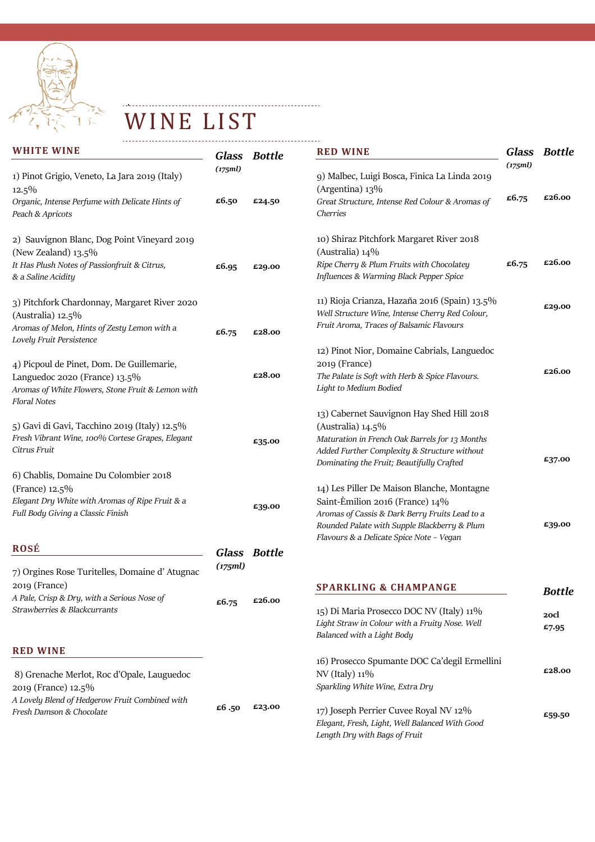

WINE LIST

. . . **.** . .

| <b>WHITE WINE</b>                                                                                                                               | <b>Glass</b> | <b>Bottle</b> | <b>RED WINE</b>                                                                                                                                                                 | Glass   | <b>Bottle</b> |
|-------------------------------------------------------------------------------------------------------------------------------------------------|--------------|---------------|---------------------------------------------------------------------------------------------------------------------------------------------------------------------------------|---------|---------------|
| 1) Pinot Grigio, Veneto, La Jara 2019 (Italy)<br>$12.5\%$                                                                                       | (175ml)      |               | 9) Malbec, Luigi Bosca, Finica La Linda 2019<br>(Argentina) $13\%$                                                                                                              | (175ml) |               |
| Organic, Intense Perfume with Delicate Hints of<br>Peach & Apricots                                                                             | £6.50        | £24.50        | Great Structure, Intense Red Colour & Aromas of<br>Cherries                                                                                                                     | £6.75   | £26.00        |
| 2) Sauvignon Blanc, Dog Point Vineyard 2019<br>(New Zealand) 13.5%                                                                              |              |               | 10) Shiraz Pitchfork Margaret River 2018<br>(Australia) $14\%$                                                                                                                  |         |               |
| It Has Plush Notes of Passionfruit & Citrus,<br>& a Saline Acidity                                                                              | £6.95        | £29.00        | Ripe Cherry & Plum Fruits with Chocolatey<br>Influences & Warming Black Pepper Spice                                                                                            | £6.75   | £26.00        |
| 3) Pitchfork Chardonnay, Margaret River 2020<br>(Australia) $12.5\%$                                                                            |              |               | 11) Rioja Crianza, Hazaña 2016 (Spain) 13.5%<br>Well Structure Wine, Intense Cherry Red Colour,                                                                                 |         | £29.00        |
| Aromas of Melon, Hints of Zesty Lemon with a<br>Lovely Fruit Persistence                                                                        | £6.75        | £28.00        | Fruit Aroma, Traces of Balsamic Flavours                                                                                                                                        |         |               |
| 4) Picpoul de Pinet, Dom. De Guillemarie,<br>Languedoc 2020 (France) 13.5%<br>Aromas of White Flowers, Stone Fruit & Lemon with<br>Floral Notes |              | £28.00        | 12) Pinot Nior, Domaine Cabrials, Languedoc<br>2019 (France)<br>The Palate is Soft with Herb & Spice Flavours.<br>Light to Medium Bodied                                        |         | £26.00        |
|                                                                                                                                                 |              |               | 13) Cabernet Sauvignon Hay Shed Hill 2018                                                                                                                                       |         |               |
| 5) Gavi di Gavi, Tacchino 2019 (Italy) 12.5%<br>Fresh Vibrant Wine, 100% Cortese Grapes, Elegant<br>Citrus Fruit                                |              | £35.00        | (Australia) $14.5\%$<br>Maturation in French Oak Barrels for 13 Months<br>Added Further Complexity & Structure without<br>Dominating the Fruit; Beautifully Crafted             |         | £37.00        |
| 6) Chablis, Domaine Du Colombier 2018                                                                                                           |              |               |                                                                                                                                                                                 |         |               |
| (France) 12.5%<br>Elegant Dry White with Aromas of Ripe Fruit & a<br>Full Body Giving a Classic Finish                                          |              | £39.00        | 14) Les Piller De Maison Blanche, Montagne<br>Saint-Èmilion 2016 (France) 14%<br>Aromas of Cassis & Dark Berry Fruits Lead to a<br>Rounded Palate with Supple Blackberry & Plum |         | £39.00        |
| <b>ROSÉ</b>                                                                                                                                     |              | Glass Bottle  | Flavours & a Delicate Spice Note - Vegan                                                                                                                                        |         |               |
| 7) Orgines Rose Turitelles, Domaine d'Atugnac                                                                                                   | (175ml)      |               |                                                                                                                                                                                 |         |               |
| 2019 (France)<br>A Pale, Crisp & Dry, with a Serious Nose of                                                                                    |              |               | <b>SPARKLING &amp; CHAMPANGE</b>                                                                                                                                                |         | <b>Bottle</b> |
| Strawberries & Blackcurrants                                                                                                                    | £6.75        | £26.00        | 15) Di Maria Prosecco DOC NV (Italy) 11%<br>Light Straw in Colour with a Fruity Nose. Well<br>Balanced with a Light Body                                                        |         | 20cl<br>£7.95 |
| <b>RED WINE</b>                                                                                                                                 |              |               | 16) Prosecco Spumante DOC Ca'degil Ermellini                                                                                                                                    |         |               |
| 8) Grenache Merlot, Roc d'Opale, Lauguedoc<br>2019 (France) 12.5%                                                                               |              |               | NV (Italy) 11%<br>Sparkling White Wine, Extra Dry                                                                                                                               |         | £28.00        |
| A Lovely Blend of Hedgerow Fruit Combined with<br>Fresh Damson & Chocolate                                                                      | £6.50        | £23.00        | 17) Joseph Perrier Cuvee Royal NV 12%<br>Elegant, Fresh, Light, Well Balanced With Good<br>Length Dry with Bags of Fruit                                                        |         | £59.50        |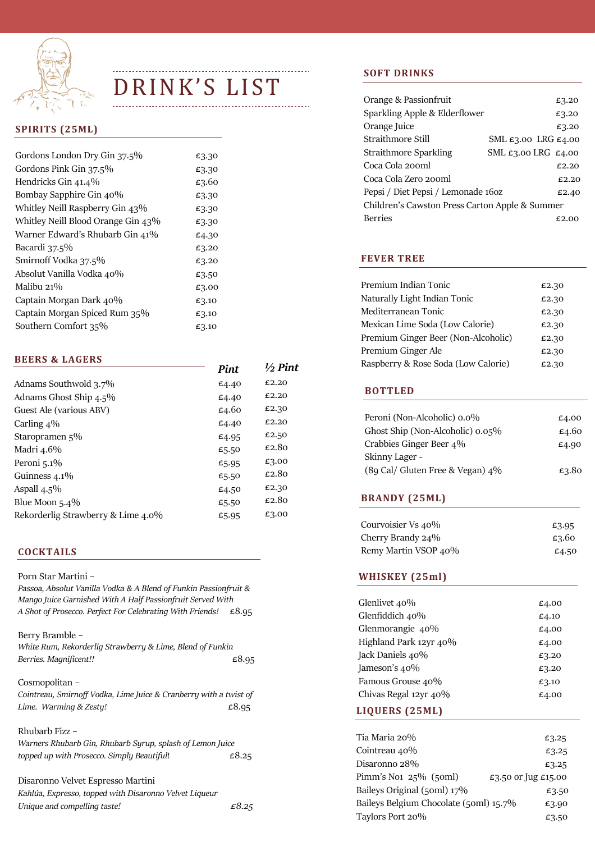

# DRINK'S LIST  $\frac{1}{2}$

# **SPIRITS** (25ML)

| Gordons London Dry Gin 37.5%       | £3.30 |
|------------------------------------|-------|
| Gordons Pink Gin 37.5%             | £3.30 |
| Hendricks Gin 41.4%                | £3.60 |
| Bombay Sapphire Gin 40%            | £3.30 |
| Whitley Neill Raspberry Gin 43%    | £3.30 |
| Whitley Neill Blood Orange Gin 43% | £3.30 |
| Warner Edward's Rhubarb Gin 41%    | £4.30 |
| Bacardi 37.5%                      | £3.20 |
| Smirnoff Vodka 37.5%               | £3.20 |
| Absolut Vanilla Vodka 40%          | £3.50 |
| Malibu 21%                         | £3.00 |
| Captain Morgan Dark 40%            | £3.10 |
| Captain Morgan Spiced Rum 35%      | £3.10 |
| Southern Comfort 35%               | £3.10 |

|                                    | Pint  | $\frac{1}{2}$ Pint |
|------------------------------------|-------|--------------------|
| Adnams Southwold 3.7%              | £4.40 | £2.20              |
| Adnams Ghost Ship 4.5%             | £4.40 | £2.20              |
| Guest Ale (various ABV)            | £4.60 | £2.30              |
| Carling $4\%$                      | £4.40 | £2.20              |
| Staropramen 5%                     | £4.95 | £2.50              |
| Madri 4.6%                         | £5.50 | £2.80              |
| Peroni 5.1%                        | £5.95 | £3.00              |
| Guinness $4.1\%$                   | £5.50 | £2.80              |
| Aspall $4.5\%$                     | £4.50 | £2.30              |
| Blue Moon $5.4\%$                  | £5.50 | £2.80              |
| Rekorderlig Strawberry & Lime 4.0% | £5.95 | £3.00              |
|                                    |       |                    |

# **COCKTAILS**

| Porn Star Martini -<br>Passoa, Absolut Vanilla Vodka & A Blend of Funkin Passionfruit &<br>Mango Juice Garnished With A Half Passionfruit Served With<br>A Shot of Prosecco. Perfect For Celebrating With Friends! | £8.95 |
|--------------------------------------------------------------------------------------------------------------------------------------------------------------------------------------------------------------------|-------|
| Berry Bramble -<br>White Rum, Rekorderlig Strawberry & Lime, Blend of Funkin<br>Berries. Magnificent!!                                                                                                             | £8.95 |
| Cosmopolitan –<br>Cointreau, Smirnoff Vodka, Lime Juice & Cranberry with a twist of<br>Lime. Warming & Zesty!                                                                                                      | £8.95 |
| Rhubarb Fizz -<br>Warners Rhubarb Gin, Rhubarb Syrup, splash of Lemon Juice<br>topped up with Prosecco. Simply Beautiful!                                                                                          | £8.25 |

Disaronno Velvet Espresso Martini Kahl*ú*a, Expresso, topped with Disaronno Velvet Liqueur Unique and compelling taste!  $\epsilon$ 8.25

# **SOFT DRINKS**

| Orange & Passionfruit                          |                                         | £3.20 |
|------------------------------------------------|-----------------------------------------|-------|
| Sparkling Apple & Elderflower                  |                                         | £3.20 |
| Orange Juice                                   |                                         | £3.20 |
| Straithmore Still                              | SML $\epsilon$ 3.00 LRG $\epsilon$ 4.00 |       |
| <b>Straithmore Sparkling</b>                   | SML $\epsilon$ 3.00 LRG $\epsilon$ 4.00 |       |
| Coca Cola 200ml                                |                                         | £2.20 |
| Coca Cola Zero 200ml                           |                                         | £2.20 |
| Pepsi / Diet Pepsi / Lemonade 160z             |                                         | £2.40 |
| Children's Cawston Press Carton Apple & Summer |                                         |       |
| <b>Berries</b>                                 |                                         | £2.00 |
|                                                |                                         |       |

# **FEVER TREE**

|                               | Dim.  | $1/2$ Pint | Raspberry & Rose Soda (Low Calorie) | £2.30 |
|-------------------------------|-------|------------|-------------------------------------|-------|
| <b>BEERS &amp; LAGERS</b>     |       |            | Premium Ginger Ale                  | £2.30 |
|                               |       |            | Premium Ginger Beer (Non-Alcoholic) | £2.30 |
| Southern Comfort 35%          | £3.10 |            | Mexican Lime Soda (Low Calorie)     | £2.30 |
| Captain Morgan Spiced Rum 35% | £3.10 |            | Mediterranean Tonic                 | £2.30 |
| Captain Morgan Dark 40%       | £3.10 |            | Naturally Light Indian Tonic        | £2.30 |
| Malibu 21%                    | £3.00 |            | Premium Indian Tonic                | £2.30 |
|                               |       |            |                                     |       |

#### **BOTTLED**

| Peroni (Non-Alcoholic) 0.0%<br>Ghost Ship (Non-Alcoholic) $0.05\%$ | £4.00<br>£4.60 |
|--------------------------------------------------------------------|----------------|
| Crabbies Ginger Beer 4\%                                           | £4.90          |
| Skinny Lager -<br>(89 Cal/ Gluten Free & Vegan) 4%                 | £3.80          |

### **BRANDY** (25ML)

| Courvoisier Vs 40%   | £3.95 |
|----------------------|-------|
| Cherry Brandy 24%    | £3.60 |
| Remy Martin VSOP 40% | £4.50 |

# WHISKEY (25ml)

| Glenlivet 40%          | £4.00 |
|------------------------|-------|
| Glenfiddich 40%        | £4.10 |
| Glenmorangie 40%       | £4.00 |
| Highland Park 12yr 40% | £4.00 |
| Jack Daniels 40%       | £3.20 |
| Jameson's $40\%$       | £3.20 |
| Famous Grouse 40%      | £3.10 |
| Chivas Regal 12yr 40%  | £4.00 |
|                        |       |

# Balvenie 12yr 40% £4.00 **LIQUERS (25ML)**

| Tia Maria 20%                               | £3.25               |
|---------------------------------------------|---------------------|
| Cointreau 40%                               | £3.25               |
| Disaronno 28%                               | £3.25               |
| Pimm's No <sub>1</sub> $25\%$ (50ml)        | £3.50 or Jug £15.00 |
| Baileys Original $(5 \text{om} \cdot 17\%)$ | £3.50               |
| Baileys Belgium Chocolate (50ml) 15.7%      | £3.90               |
| Taylors Port 20%                            | £3.50               |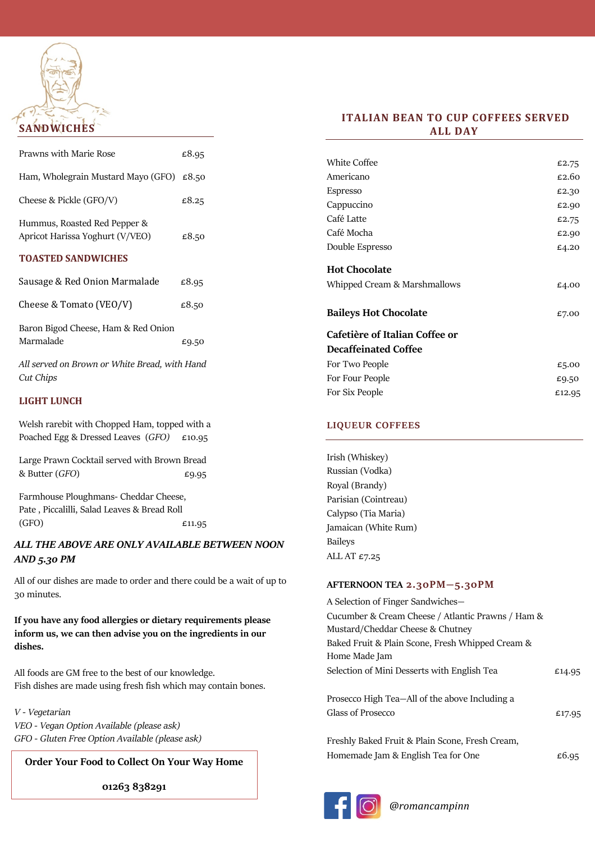

| Prawns with Marie Rose                                          | £8.95 |
|-----------------------------------------------------------------|-------|
| Ham, Wholegrain Mustard Mayo (GFO) $\epsilon$ 8.50              |       |
| Cheese & Pickle (GFO/V)                                         | £8.25 |
| Hummus, Roasted Red Pepper &<br>Apricot Harissa Yoghurt (V/VEO) | £8.50 |
| <b>TOASTED SANDWICHES</b>                                       |       |
| Sausage & Red Onion Marmalade                                   | £8.95 |
| Cheese & Tomato (VEO/V)                                         | £8.50 |
| Baron Bigod Cheese, Ham & Red Onion                             |       |

Marmalade  $£9.50$ All served on Brown or White Bread, with Hand

#### **LIGHT LUNCH**

Cut Chips

Welsh rarebit with Chopped Ham, topped with a Poached Egg & Dressed Leaves  $(GFO)$  £10.95

Large Prawn Cocktail served with Brown Bread & Butter  $(GFO)$   $\epsilon$ 9.95

Farmhouse Ploughmans- Cheddar Cheese, Pate , Piccalilli, Salad Leaves & Bread Roll  $E11.95$ 

# ALL THE ABOVE ARE ONLY AVAILABLE BETWEEN NOON AND 5.30 PM

All of our dishes are made to order and there could be a wait of up to 30 minutes.

If you have any food allergies or dietary requirements please inform us, we can then advise you on the ingredients in our dishes.

All foods are GM free to the best of our knowledge. Fish dishes are made using fresh fish which may contain bones.

V - Vegetarian VEO - Vegan Option Available (please ask) GFO - Gluten Free Option Available (please ask)

01263 838291

# **ITALIAN BEAN TO CUP COFFEES SERVED ALL DAY**

| <b>White Coffee</b>            | £2.75  |
|--------------------------------|--------|
| Americano                      | £2.60  |
| Espresso                       | £2.30  |
| Cappuccino                     | £2.90  |
| Café Latte                     | £2.75  |
| Café Mocha                     | £2.90  |
| Double Espresso                | £4.20  |
| <b>Hot Chocolate</b>           |        |
| Whipped Cream & Marshmallows   | £4.00  |
| <b>Baileys Hot Chocolate</b>   | £7.00  |
| Cafetière of Italian Coffee or |        |
| <b>Decaffeinated Coffee</b>    |        |
| For Two People                 | £5.00  |
| For Four People                | £9.50  |
| For Six People                 | £12.95 |
|                                |        |

#### LIQUEUR COFFEES

Irish (Whiskey) Russian (Vodka) Royal (Brandy) Parisian (Cointreau) Calypso (Tia Maria) Jamaican (White Rum) Baileys ALL AT £7.25

#### AFTERNOON TEA 2.30PM—5.30PM

**Order Your Food to Collect On Your Way Home** Homemade Jam & English Tea for One **EG.95**  $\epsilon$ 6.95 A Selection of Finger Sandwiches— Cucumber & Cream Cheese / Atlantic Prawns / Ham & Mustard/Cheddar Cheese & Chutney Baked Fruit & Plain Scone, Fresh Whipped Cream & Home Made Jam Selection of Mini Desserts with English Tea  $£14.95$ Prosecco High Tea—All of the above Including a Glass of Prosecco  $E17.95$ Freshly Baked Fruit & Plain Scone, Fresh Cream,